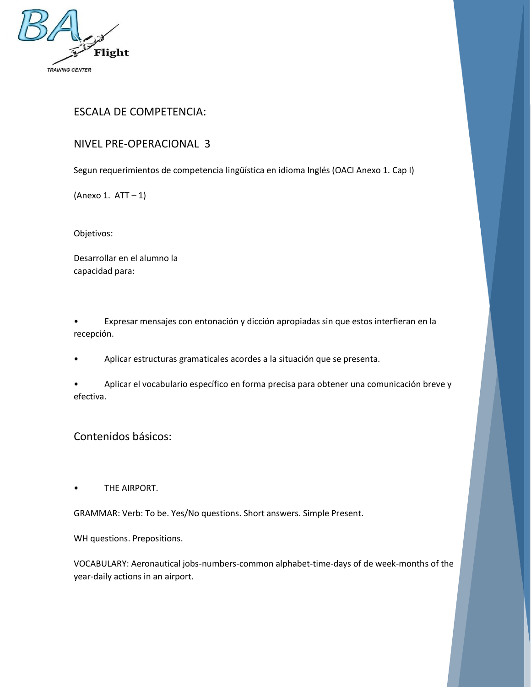

## ESCALA DE COMPETENCIA:

## NIVEL PRE-OPERACIONAL 3

Segun requerimientos de competencia lingüística en idioma Inglés (OACI Anexo 1. Cap I)

(Anexo 1. ATT – 1)

Objetivos:

Desarrollar en el alumno la capacidad para:

• Expresar mensajes con entonación y dicción apropiadas sin que estos interfieran en la recepción.

• Aplicar estructuras gramaticales acordes a la situación que se presenta.

• Aplicar el vocabulario específico en forma precisa para obtener una comunicación breve y efectiva.

Contenidos básicos:

THE AIRPORT.

GRAMMAR: Verb: To be. Yes/No questions. Short answers. Simple Present.

WH questions. Prepositions.

VOCABULARY: Aeronautical jobs-numbers-common alphabet-time-days of de week-months of the year-daily actions in an airport.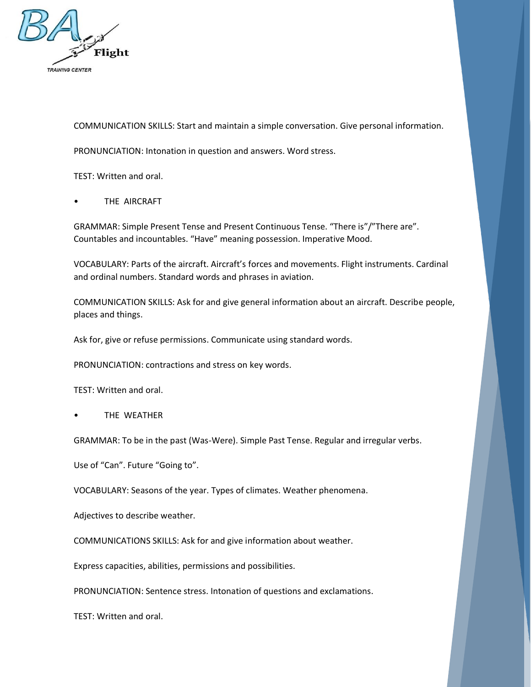

COMMUNICATION SKILLS: Start and maintain a simple conversation. Give personal information.

PRONUNCIATION: Intonation in question and answers. Word stress.

TEST: Written and oral.

THE AIRCRAFT

GRAMMAR: Simple Present Tense and Present Continuous Tense. "There is"/"There are". Countables and incountables. "Have" meaning possession. Imperative Mood.

VOCABULARY: Parts of the aircraft. Aircraft's forces and movements. Flight instruments. Cardinal and ordinal numbers. Standard words and phrases in aviation.

COMMUNICATION SKILLS: Ask for and give general information about an aircraft. Describe people, places and things.

Ask for, give or refuse permissions. Communicate using standard words.

PRONUNCIATION: contractions and stress on key words.

TEST: Written and oral.

**THE WEATHER** 

GRAMMAR: To be in the past (Was-Were). Simple Past Tense. Regular and irregular verbs.

Use of "Can". Future "Going to".

VOCABULARY: Seasons of the year. Types of climates. Weather phenomena.

Adjectives to describe weather.

COMMUNICATIONS SKILLS: Ask for and give information about weather.

Express capacities, abilities, permissions and possibilities.

PRONUNCIATION: Sentence stress. Intonation of questions and exclamations.

TEST: Written and oral.